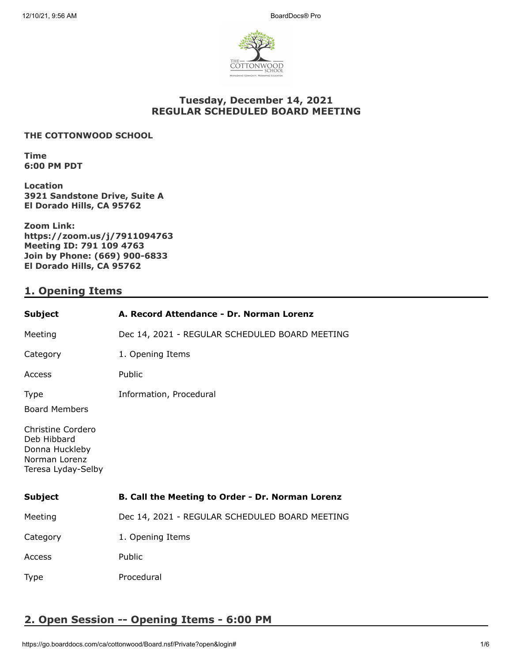

## **Tuesday, December 14, 2021 REGULAR SCHEDULED BOARD MEETING**

### **THE COTTONWOOD SCHOOL**

**Time 6:00 PM PDT**

**Location 3921 Sandstone Drive, Suite A El Dorado Hills, CA 95762**

**Zoom Link: https://zoom.us/j/7911094763 Meeting ID: 791 109 4763 Join by Phone: (669) 900-6833 El Dorado Hills, CA 95762**

## **1. Opening Items**

| <b>Subject</b>                                                                                                                   | A. Record Attendance - Dr. Norman Lorenz         |
|----------------------------------------------------------------------------------------------------------------------------------|--------------------------------------------------|
| Meeting                                                                                                                          | Dec 14, 2021 - REGULAR SCHEDULED BOARD MEETING   |
| Category                                                                                                                         | 1. Opening Items                                 |
| Access                                                                                                                           | Public                                           |
| <b>Type</b><br><b>Board Members</b><br>Christine Cordero<br>Deb Hibbard<br>Donna Huckleby<br>Norman Lorenz<br>Teresa Lyday-Selby | Information, Procedural                          |
| <b>Subject</b>                                                                                                                   | B. Call the Meeting to Order - Dr. Norman Lorenz |
| Meeting                                                                                                                          | Dec 14, 2021 - REGULAR SCHEDULED BOARD MEETING   |
| Category                                                                                                                         | 1. Opening Items                                 |
| Access                                                                                                                           | Public                                           |
| <b>Type</b>                                                                                                                      | Procedural                                       |

# **2. Open Session -- Opening Items - 6:00 PM**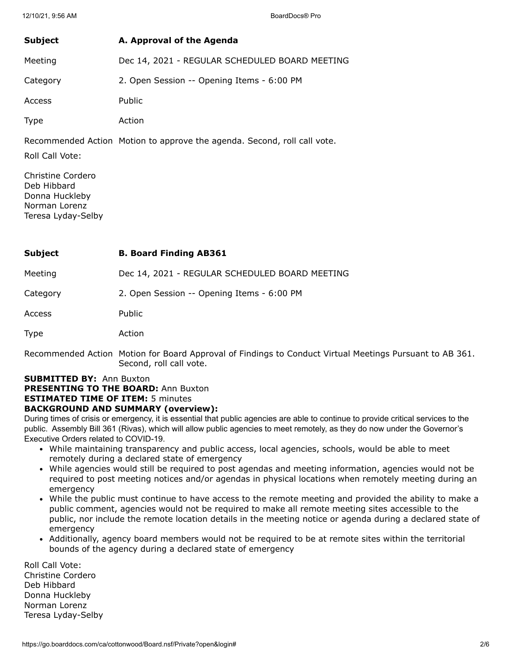| Subject     | A. Approval of the Agenda                      |
|-------------|------------------------------------------------|
| Meeting     | Dec 14, 2021 - REGULAR SCHEDULED BOARD MEETING |
| Category    | 2. Open Session -- Opening Items - 6:00 PM     |
| Access      | Public                                         |
| <b>Type</b> | Action                                         |

Recommended Action Motion to approve the agenda. Second, roll call vote.

Roll Call Vote:

Christine Cordero Deb Hibbard Donna Huckleby Norman Lorenz Teresa Lyday-Selby

| Subject | <b>B. Board Finding AB361</b> |
|---------|-------------------------------|
|---------|-------------------------------|

Meeting Dec 14, 2021 - REGULAR SCHEDULED BOARD MEETING

Category 2. Open Session -- Opening Items - 6:00 PM

Access Public

Type Action

Recommended Action Motion for Board Approval of Findings to Conduct Virtual Meetings Pursuant to AB 361. Second, roll call vote.

#### **SUBMITTED BY:** Ann Buxton **PRESENTING TO THE BOARD:** Ann Buxton

**ESTIMATED TIME OF ITEM:** 5 minutes

### **BACKGROUND AND SUMMARY (overview):**

During times of crisis or emergency, it is essential that public agencies are able to continue to provide critical services to the public. Assembly Bill 361 (Rivas), which will allow public agencies to meet remotely, as they do now under the Governor's Executive Orders related to COVID-19.

- While maintaining transparency and public access, local agencies, schools, would be able to meet remotely during a declared state of emergency
- While agencies would still be required to post agendas and meeting information, agencies would not be required to post meeting notices and/or agendas in physical locations when remotely meeting during an emergency
- While the public must continue to have access to the remote meeting and provided the ability to make a public comment, agencies would not be required to make all remote meeting sites accessible to the public, nor include the remote location details in the meeting notice or agenda during a declared state of emergency
- Additionally, agency board members would not be required to be at remote sites within the territorial bounds of the agency during a declared state of emergency

Roll Call Vote: Christine Cordero Deb Hibbard Donna Huckleby Norman Lorenz Teresa Lyday-Selby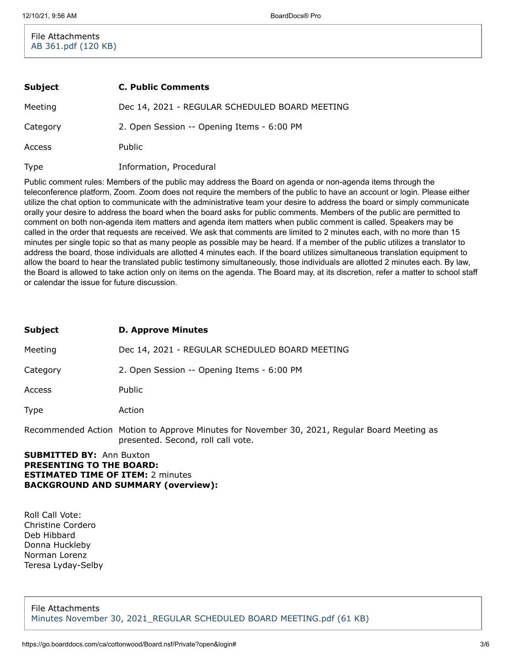File Attachments [AB 361.pdf \(120 KB\)](https://go.boarddocs.com/ca/cottonwood/Board.nsf/files/C9ALZA58F2CF/$file/AB%20361.pdf)

| Subject     | <b>C. Public Comments</b>                      |
|-------------|------------------------------------------------|
| Meeting     | Dec 14, 2021 - REGULAR SCHEDULED BOARD MEETING |
| Category    | 2. Open Session -- Opening Items - 6:00 PM     |
| Access      | <b>Public</b>                                  |
| <b>Type</b> | Information, Procedural                        |

Public comment rules: Members of the public may address the Board on agenda or non-agenda items through the teleconference platform, Zoom. Zoom does not require the members of the public to have an account or login. Please either utilize the chat option to communicate with the administrative team your desire to address the board or simply communicate orally your desire to address the board when the board asks for public comments. Members of the public are permitted to comment on both non-agenda item matters and agenda item matters when public comment is called. Speakers may be called in the order that requests are received. We ask that comments are limited to 2 minutes each, with no more than 15 minutes per single topic so that as many people as possible may be heard. If a member of the public utilizes a translator to address the board, those individuals are allotted 4 minutes each. If the board utilizes simultaneous translation equipment to allow the board to hear the translated public testimony simultaneously, those individuals are allotted 2 minutes each. By law, the Board is allowed to take action only on items on the agenda. The Board may, at its discretion, refer a matter to school staff or calendar the issue for future discussion.

| <b>Subject</b>                  | <b>D. Approve Minutes</b>                                                                                                          |
|---------------------------------|------------------------------------------------------------------------------------------------------------------------------------|
| Meeting                         | Dec 14, 2021 - REGULAR SCHEDULED BOARD MEETING                                                                                     |
| Category                        | 2. Open Session -- Opening Items - 6:00 PM                                                                                         |
| Access                          | Public                                                                                                                             |
| Type                            | Action                                                                                                                             |
|                                 | Recommended Action Motion to Approve Minutes for November 30, 2021, Regular Board Meeting as<br>presented. Second, roll call vote. |
| <b>SUBMITTED BY: Ann Buxton</b> |                                                                                                                                    |

# **PRESENTING TO THE BOARD: ESTIMATED TIME OF ITEM:** 2 minutes **BACKGROUND AND SUMMARY (overview):**

Roll Call Vote: Christine Cordero Deb Hibbard Donna Huckleby Norman Lorenz Teresa Lyday-Selby

File Attachments [Minutes November 30, 2021\\_REGULAR SCHEDULED BOARD MEETING.pdf \(61 KB\)](https://go.boarddocs.com/ca/cottonwood/Board.nsf/files/C9KNCE5DEE52/$file/Minutes%20November%2030%2C%202021_REGULAR%20SCHEDULED%20BOARD%20MEETING.pdf)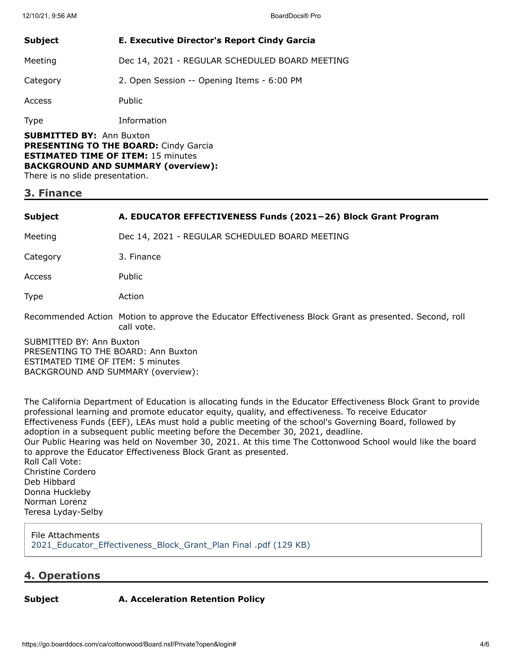| <b>Subject</b>                                                                  | <b>E. Executive Director's Report Cindy Garcia</b> |
|---------------------------------------------------------------------------------|----------------------------------------------------|
| Meeting                                                                         | Dec 14, 2021 - REGULAR SCHEDULED BOARD MEETING     |
| Category                                                                        | 2. Open Session -- Opening Items - 6:00 PM         |
| Access                                                                          | <b>Public</b>                                      |
| <b>Type</b>                                                                     | Information                                        |
| <b>SUBMITTED BY: Ann Buxton</b><br><b>DDECENTING TO THE ROADD:</b> Cindy Carcia |                                                    |

**PRESENTING TO THE BOARD:** Cindy Garcia **ESTIMATED TIME OF ITEM:** 15 minutes **BACKGROUND AND SUMMARY (overview):** There is no slide presentation.

### **3. Finance**

#### **Subject A. EDUCATOR EFFECTIVENESS Funds (2021−26) Block Grant Program**

Meeting Dec 14, 2021 - REGULAR SCHEDULED BOARD MEETING

Category 3. Finance

Access Public

Type Action

Recommended Action Motion to approve the Educator Effectiveness Block Grant as presented. Second, roll call vote.

SUBMITTED BY: Ann Buxton PRESENTING TO THE BOARD: Ann Buxton ESTIMATED TIME OF ITEM: 5 minutes BACKGROUND AND SUMMARY (overview):

The California Department of Education is allocating funds in the Educator Effectiveness Block Grant to provide professional learning and promote educator equity, quality, and effectiveness. To receive Educator Effectiveness Funds (EEF), LEAs must hold a public meeting of the school's Governing Board, followed by adoption in a subsequent public meeting before the December 30, 2021, deadline. Our Public Hearing was held on November 30, 2021. At this time The Cottonwood School would like the board to approve the Educator Effectiveness Block Grant as presented. Roll Call Vote: Christine Cordero Deb Hibbard Donna Huckleby Norman Lorenz Teresa Lyday-Selby

File Attachments [2021\\_Educator\\_Effectiveness\\_Block\\_Grant\\_Plan Final .pdf \(129 KB\)](https://go.boarddocs.com/ca/cottonwood/Board.nsf/files/C9AMD55870E4/$file/2021_Educator_Effectiveness_Block_Grant_Plan%20Final%20.pdf)

### **4. Operations**

### **Subject A. Acceleration Retention Policy**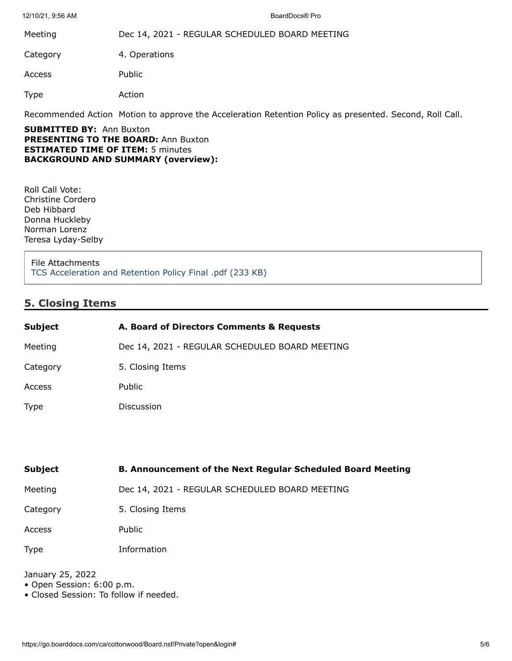12/10/21, 9:56 AM BoardDocs® Pro

Meeting Dec 14, 2021 - REGULAR SCHEDULED BOARD MEETING

Category 4. Operations

Access Public

Type Action

Recommended Action Motion to approve the Acceleration Retention Policy as presented. Second, Roll Call.

**SUBMITTED BY:** Ann Buxton **PRESENTING TO THE BOARD: Ann Buxton ESTIMATED TIME OF ITEM:** 5 minutes **BACKGROUND AND SUMMARY (overview):**

Roll Call Vote: Christine Cordero Deb Hibbard Donna Huckleby Norman Lorenz Teresa Lyday-Selby

File Attachments [TCS Acceleration and Retention Policy Final .pdf \(233 KB\)](https://go.boarddocs.com/ca/cottonwood/Board.nsf/files/C9JM9F5A2532/$file/TCS%20Acceleration%20and%20Retention%20Policy%20Final%20.pdf)

# **5. Closing Items**

| <b>Subject</b> | A. Board of Directors Comments & Requests      |
|----------------|------------------------------------------------|
| Meeting        | Dec 14, 2021 - REGULAR SCHEDULED BOARD MEETING |
| Category       | 5. Closing Items                               |
| <b>Access</b>  | <b>Public</b>                                  |
| <b>Type</b>    | Discussion                                     |

| <b>Subject</b> | <b>B. Announcement of the Next Regular Scheduled Board Meeting</b> |
|----------------|--------------------------------------------------------------------|
| Meeting        | Dec 14, 2021 - REGULAR SCHEDULED BOARD MEETING                     |
| Category       | 5. Closing Items                                                   |
| Access         | Public                                                             |
| <b>Type</b>    | Information                                                        |

January 25, 2022

- Open Session: 6:00 p.m.
- Closed Session: To follow if needed.